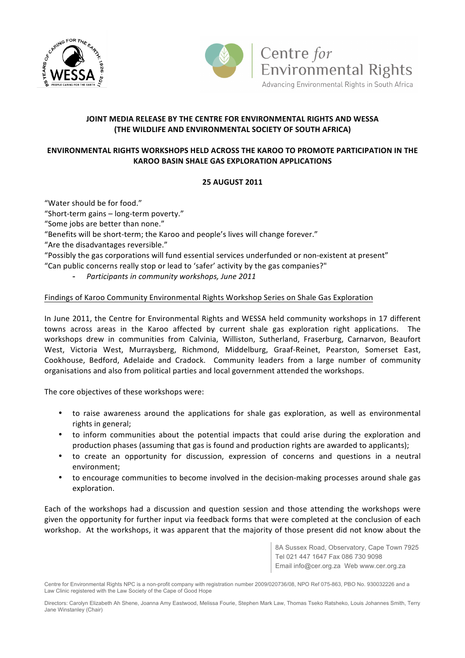



# **JOINT MEDIA RELEASE BY THE CENTRE FOR ENVIRONMENTAL RIGHTS AND WESSA (THE WILDLIFE AND ENVIRONMENTAL SOCIETY OF SOUTH AFRICA)**

# **ENVIRONMENTAL RIGHTS WORKSHOPS HELD ACROSS THE KAROO TO PROMOTE PARTICIPATION IN THE KAROO BASIN SHALE GAS EXPLORATION APPLICATIONS**

# **25 AUGUST!2011**

"Water should be for food."

"Short-term gains - long-term poverty."

"Some jobs are better than none."

"Benefits will be short-term; the Karoo and people's lives will change forever."

"Are the disadvantages reversible."

"Possibly the gas corporations will fund essential services underfunded or non-existent at present"

"Can public concerns really stop or lead to 'safer' activity by the gas companies?"

Participants in community workshops, June 2011

### Findings of Karoo Community Environmental Rights Workshop Series on Shale Gas Exploration

In June 2011, the Centre for Environmental Rights and WESSA held community workshops in 17 different towns across areas in the Karoo affected by current shale gas exploration right applications. The workshops drew in communities from Calvinia, Williston, Sutherland, Fraserburg, Carnarvon, Beaufort West, Victoria West, Murraysberg, Richmond, Middelburg, Graaf-Reinet, Pearston, Somerset East, Cookhouse, Bedford, Adelaide and Cradock. Community leaders from a large number of community organisations and also from political parties and local government attended the workshops.

The core objectives of these workshops were:

- to raise awareness around the applications for shale gas exploration, as well as environmental rights in general;
- to inform communities about the potential impacts that could arise during the exploration and production phases (assuming that gas is found and production rights are awarded to applicants);
- to create an opportunity for discussion, expression of concerns and questions in a neutral environment;
- to encourage communities to become involved in the decision-making processes around shale gas exploration.

Each of the workshops had a discussion and question session and those attending the workshops were given the opportunity for further input via feedback forms that were completed at the conclusion of each workshop. At the workshops, it was apparent that the majority of those present did not know about the

> 8A Sussex Road, Observatory, Cape Town 7925 Tel 021 447 1647 Fax 086 730 9098 Email info@cer.org.za Web www.cer.org.za

Centre for Environmental Rights NPC is a non-profit company with registration number 2009/020736/08, NPO Ref 075-863, PBO No. 930032226 and a Law Clinic registered with the Law Society of the Cape of Good Hope

Directors: Carolyn Elizabeth Ah Shene, Joanna Amy Eastwood, Melissa Fourie, Stephen Mark Law, Thomas Tseko Ratsheko, Louis Johannes Smith, Terry Jane Winstanley (Chair)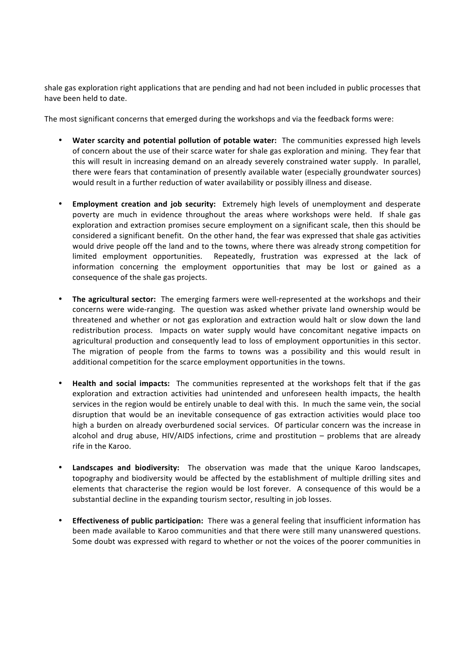shale gas exploration right applications that are pending and had not been included in public processes that have been held to date.

The most significant concerns that emerged during the workshops and via the feedback forms were:

- Water scarcity and potential pollution of potable water: The communities expressed high levels of concern about the use of their scarce water for shale gas exploration and mining. They fear that this will result in increasing demand on an already severely constrained water supply. In parallel, there were fears that contamination of presently available water (especially groundwater sources) would result in a further reduction of water availability or possibly illness and disease.
- **Employment creation and job security:** Extremely high levels of unemployment and desperate poverty are much in evidence throughout the areas where workshops were held. If shale gas exploration and extraction promises secure employment on a significant scale, then this should be considered a significant benefit. On the other hand, the fear was expressed that shale gas activities would drive people off the land and to the towns, where there was already strong competition for limited employment opportunities. Repeatedly, frustration was expressed at the lack of information concerning the employment opportunities that may be lost or gained as a consequence of the shale gas projects.
- The agricultural sector: The emerging farmers were well-represented at the workshops and their concerns were wide-ranging. The question was asked whether private land ownership would be threatened and whether or not gas exploration and extraction would halt or slow down the land redistribution process. Impacts on water supply would have concomitant negative impacts on agricultural production and consequently lead to loss of employment opportunities in this sector. The migration of people from the farms to towns was a possibility and this would result in additional competition for the scarce employment opportunities in the towns.
- **Health and social impacts:** The communities represented at the workshops felt that if the gas exploration and extraction activities had unintended and unforeseen health impacts, the health services in the region would be entirely unable to deal with this. In much the same vein, the social disruption that would be an inevitable consequence of gas extraction activities would place too high a burden on already overburdened social services. Of particular concern was the increase in alcohol and drug abuse, HIV/AIDS infections, crime and prostitution – problems that are already rife in the Karoo.
- Landscapes and biodiversity: The observation was made that the unique Karoo landscapes, topography and biodiversity would be affected by the establishment of multiple drilling sites and elements that characterise the region would be lost forever. A consequence of this would be a substantial decline in the expanding tourism sector, resulting in job losses.
- **Effectiveness of public participation:** There was a general feeling that insufficient information has been made available to Karoo communities and that there were still many unanswered questions. Some doubt was expressed with regard to whether or not the voices of the poorer communities in